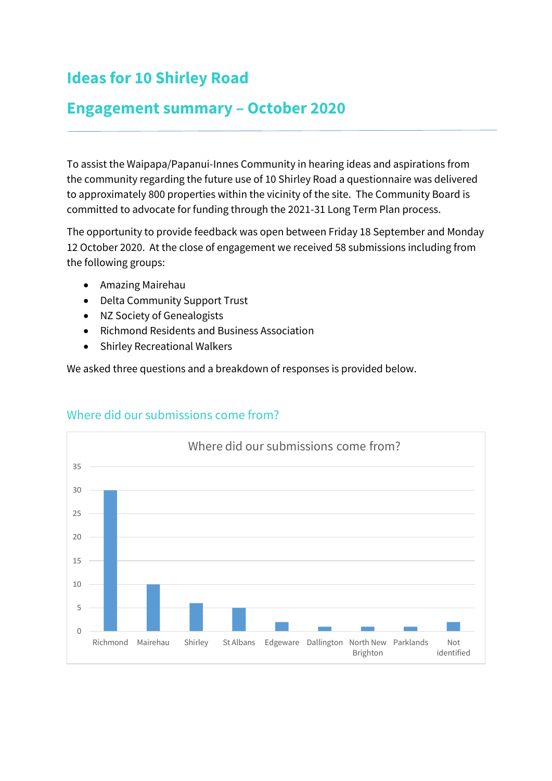# **Ideas for 10 Shirley Road**

## **Engagement summary – October 2020**

To assist the Waipapa/Papanui-Innes Community in hearing ideas and aspirations from the community regarding the future use of 10 Shirley Road a questionnaire was delivered to approximately 800 properties within the vicinity of the site. The Community Board is committed to advocate for funding through the 2021-31 Long Term Plan process.

The opportunity to provide feedback was open between Friday 18 September and Monday 12 October 2020. At the close of engagement we received 58 submissions including from the following groups:

- Amazing Mairehau
- Delta Community Support Trust
- NZ Society of Genealogists
- Richmond Residents and Business Association
- Shirley Recreational Walkers

We asked three questions and a breakdown of responses is provided below.



#### Where did our submissions come from?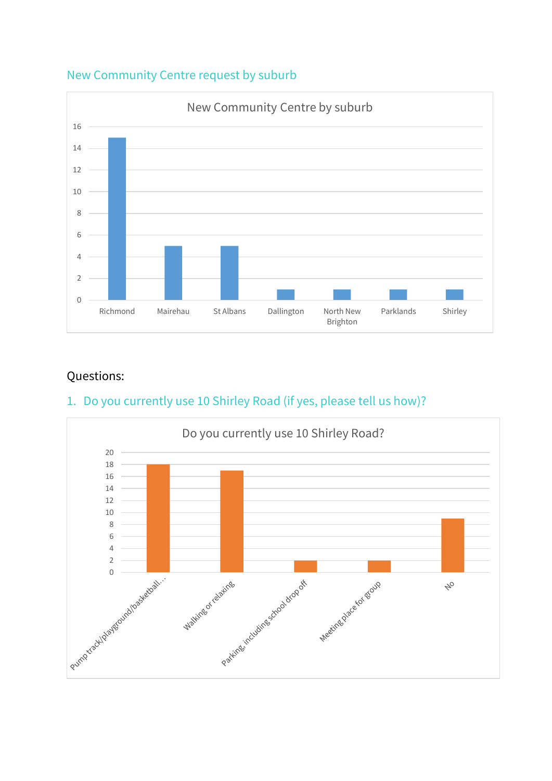

#### New Community Centre request by suburb

## Questions:

## 1. Do you currently use 10 Shirley Road (if yes, please tell us how)?

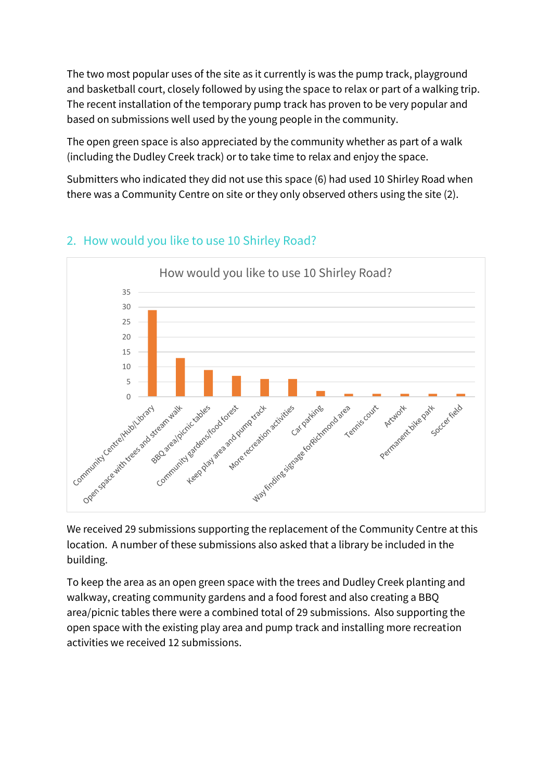The two most popular uses of the site as it currently is was the pump track, playground and basketball court, closely followed by using the space to relax or part of a walking trip. The recent installation of the temporary pump track has proven to be very popular and based on submissions well used by the young people in the community.

The open green space is also appreciated by the community whether as part of a walk (including the Dudley Creek track) or to take time to relax and enjoy the space.

Submitters who indicated they did not use this space (6) had used 10 Shirley Road when there was a Community Centre on site or they only observed others using the site (2).



### 2. How would you like to use 10 Shirley Road?

We received 29 submissions supporting the replacement of the Community Centre at this location. A number of these submissions also asked that a library be included in the building.

To keep the area as an open green space with the trees and Dudley Creek planting and walkway, creating community gardens and a food forest and also creating a BBQ area/picnic tables there were a combined total of 29 submissions. Also supporting the open space with the existing play area and pump track and installing more recreation activities we received 12 submissions.